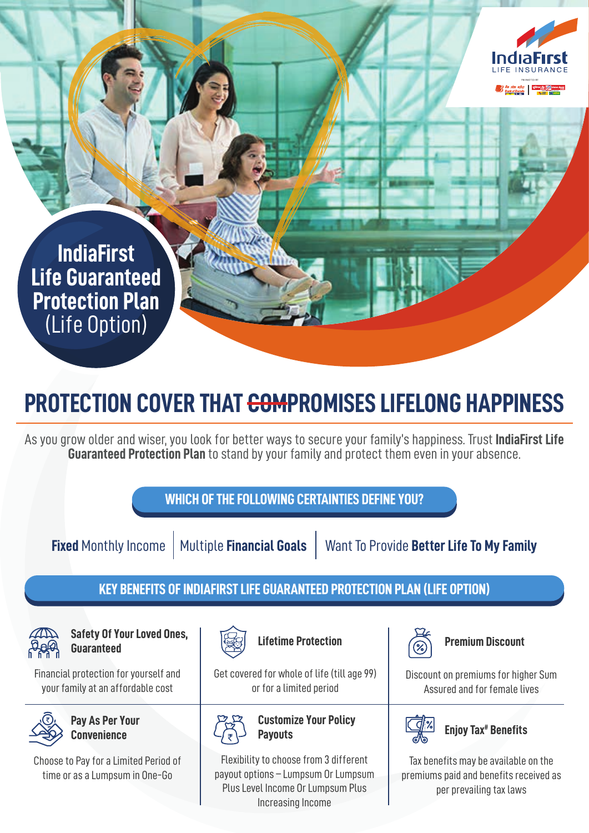

**IndiaFirst Life Guaranteed Protection Plan** (Life Option)

## **PROTECTION COVER THAT <del>COM</del>PROMISES LIFELONG HAPPINESS**

As you grow older and wiser, you look for better ways to secure your family's happiness. Trust **IndiaFirst Life Guaranteed Protection Plan** to stand by your family and protect them even in your absence.

**WHICH OF THE FOLLOWING CERTAINTIES DEFINE YOU? Fixed** Monthly Income | Multiple **Financial Goals** | Want To Provide Better Life To My Family

## **KEY BENEFITS OF INDIAFIRST LIFE GUARANTEED PROTECTION PLAN (LIFE OPTION)**



**Safety Of Your Loved Ones, Guaranteed**

Financial protection for yourself and your family at an affordable cost



**Pay As Per Your Convenience**

Choose to Pay for a Limited Period of time or as a Lumpsum in One-Go



**Lifetime Protection**

Get covered for whole of life (till age 99) or for a limited period



**Customize Your Policy Payouts**

Flexibility to choose from 3 different payout options – Lumpsum Or Lumpsum Plus Level Income Or Lumpsum Plus Increasing Income



**Premium Discount**

Discount on premiums for higher Sum Assured and for female lives



**Enjoy Tax# Benefits**

Tax benefits may be available on the premiums paid and benefits received as per prevailing tax laws